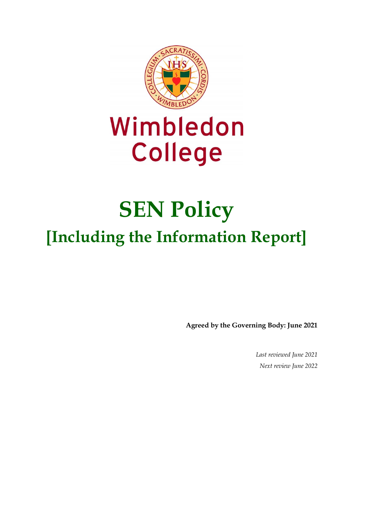

# Wimbledon **College**

# **SEN Policy [Including the Information Report]**

**Agreed by the Governing Body: June 2021** 

*Last reviewed June 2021 Next review June 2022*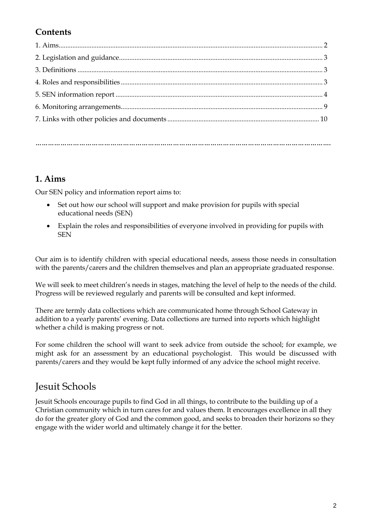# **Contents**

**…………………………………………………………………………………………………………………………….**

## **1. Aims**

Our SEN policy and information report aims to:

- Set out how our school will support and make provision for pupils with special educational needs (SEN)
- Explain the roles and responsibilities of everyone involved in providing for pupils with SEN

Our aim is to identify children with special educational needs, assess those needs in consultation with the parents/carers and the children themselves and plan an appropriate graduated response.

We will seek to meet children's needs in stages, matching the level of help to the needs of the child. Progress will be reviewed regularly and parents will be consulted and kept informed.

There are termly data collections which are communicated home through School Gateway in addition to a yearly parents' evening. Data collections are turned into reports which highlight whether a child is making progress or not.

For some children the school will want to seek advice from outside the school; for example, we might ask for an assessment by an educational psychologist. This would be discussed with parents/carers and they would be kept fully informed of any advice the school might receive.

# Jesuit Schools

Jesuit Schools encourage pupils to find God in all things, to contribute to the building up of a Christian community which in turn cares for and values them. It encourages excellence in all they do for the greater glory of God and the common good, and seeks to broaden their horizons so they engage with the wider world and ultimately change it for the better.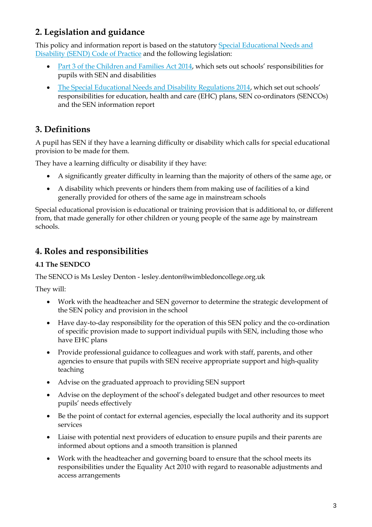# **2. Legislation and guidance**

This policy and information report is based on the statutory [Special Educational Needs and](https://www.gov.uk/government/uploads/system/uploads/attachment_data/file/398815/SEND_Code_of_Practice_January_2015.pdf)  [Disability \(SEND\) Code of Practice](https://www.gov.uk/government/uploads/system/uploads/attachment_data/file/398815/SEND_Code_of_Practice_January_2015.pdf) and the following legislation:

- [Part 3 of the Children and Families Act 2014,](http://www.legislation.gov.uk/ukpga/2014/6/part/3) which sets out schools' responsibilities for pupils with SEN and disabilities
- [The Special Educational Needs and Disability Regulations 2014,](http://www.legislation.gov.uk/uksi/2014/1530/contents/made) which set out schools' responsibilities for education, health and care (EHC) plans, SEN co-ordinators (SENCOs) and the SEN information report

# **3. Definitions**

A pupil has SEN if they have a learning difficulty or disability which calls for special educational provision to be made for them.

They have a learning difficulty or disability if they have:

- A significantly greater difficulty in learning than the majority of others of the same age, or
- A disability which prevents or hinders them from making use of facilities of a kind generally provided for others of the same age in mainstream schools

Special educational provision is educational or training provision that is additional to, or different from, that made generally for other children or young people of the same age by mainstream schools.

# **4. Roles and responsibilities**

## **4.1 The SENDCO**

The SENCO is Ms Lesley Denton - lesley.denton@wimbledoncollege.org.uk

They will:

- Work with the headteacher and SEN governor to determine the strategic development of the SEN policy and provision in the school
- Have day-to-day responsibility for the operation of this SEN policy and the co-ordination of specific provision made to support individual pupils with SEN, including those who have EHC plans
- Provide professional guidance to colleagues and work with staff, parents, and other agencies to ensure that pupils with SEN receive appropriate support and high-quality teaching
- Advise on the graduated approach to providing SEN support
- Advise on the deployment of the school's delegated budget and other resources to meet pupils' needs effectively
- Be the point of contact for external agencies, especially the local authority and its support services
- Liaise with potential next providers of education to ensure pupils and their parents are informed about options and a smooth transition is planned
- Work with the headteacher and governing board to ensure that the school meets its responsibilities under the Equality Act 2010 with regard to reasonable adjustments and access arrangements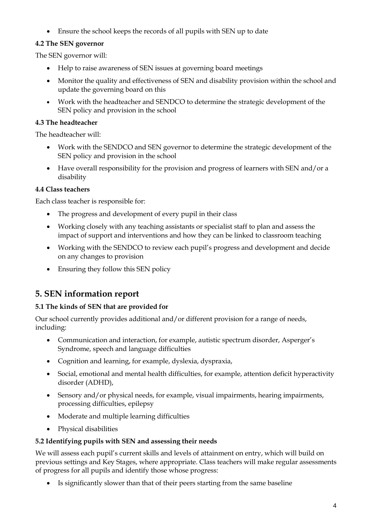• Ensure the school keeps the records of all pupils with SEN up to date

## **4.2 The SEN governor**

The SEN governor will:

- Help to raise awareness of SEN issues at governing board meetings
- Monitor the quality and effectiveness of SEN and disability provision within the school and update the governing board on this
- Work with the headteacher and SENDCO to determine the strategic development of the SEN policy and provision in the school

#### **4.3 The headteacher**

The headteacher will:

- Work with the SENDCO and SEN governor to determine the strategic development of the SEN policy and provision in the school
- Have overall responsibility for the provision and progress of learners with SEN and/or a disability

#### **4.4 Class teachers**

Each class teacher is responsible for:

- The progress and development of every pupil in their class
- Working closely with any teaching assistants or specialist staff to plan and assess the impact of support and interventions and how they can be linked to classroom teaching
- Working with the SENDCO to review each pupil's progress and development and decide on any changes to provision
- Ensuring they follow this SEN policy

# **5. SEN information report**

#### **5.1 The kinds of SEN that are provided for**

Our school currently provides additional and/or different provision for a range of needs, including:

- Communication and interaction, for example, autistic spectrum disorder, Asperger's Syndrome, speech and language difficulties
- Cognition and learning, for example, dyslexia, dyspraxia,
- Social, emotional and mental health difficulties, for example, attention deficit hyperactivity disorder (ADHD),
- Sensory and/or physical needs, for example, visual impairments, hearing impairments, processing difficulties, epilepsy
- Moderate and multiple learning difficulties
- Physical disabilities

#### **5.2 Identifying pupils with SEN and assessing their needs**

We will assess each pupil's current skills and levels of attainment on entry, which will build on previous settings and Key Stages, where appropriate. Class teachers will make regular assessments of progress for all pupils and identify those whose progress:

• Is significantly slower than that of their peers starting from the same baseline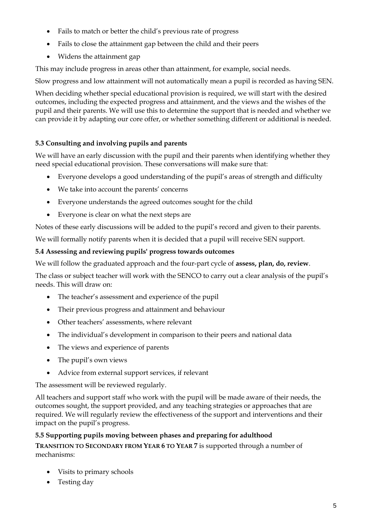- Fails to match or better the child's previous rate of progress
- Fails to close the attainment gap between the child and their peers
- Widens the attainment gap

This may include progress in areas other than attainment, for example, social needs.

Slow progress and low attainment will not automatically mean a pupil is recorded as having SEN.

When deciding whether special educational provision is required, we will start with the desired outcomes, including the expected progress and attainment, and the views and the wishes of the pupil and their parents. We will use this to determine the support that is needed and whether we can provide it by adapting our core offer, or whether something different or additional is needed.

#### **5.3 Consulting and involving pupils and parents**

We will have an early discussion with the pupil and their parents when identifying whether they need special educational provision. These conversations will make sure that:

- Everyone develops a good understanding of the pupil's areas of strength and difficulty
- We take into account the parents' concerns
- Everyone understands the agreed outcomes sought for the child
- Everyone is clear on what the next steps are

Notes of these early discussions will be added to the pupil's record and given to their parents.

We will formally notify parents when it is decided that a pupil will receive SEN support.

#### **5.4 Assessing and reviewing pupils' progress towards outcomes**

We will follow the graduated approach and the four-part cycle of **assess, plan, do, review**.

The class or subject teacher will work with the SENCO to carry out a clear analysis of the pupil's needs. This will draw on:

- The teacher's assessment and experience of the pupil
- Their previous progress and attainment and behaviour
- Other teachers' assessments, where relevant
- The individual's development in comparison to their peers and national data
- The views and experience of parents
- The pupil's own views
- Advice from external support services, if relevant

The assessment will be reviewed regularly.

All teachers and support staff who work with the pupil will be made aware of their needs, the outcomes sought, the support provided, and any teaching strategies or approaches that are required. We will regularly review the effectiveness of the support and interventions and their impact on the pupil's progress.

#### **5.5 Supporting pupils moving between phases and preparing for adulthood**

**TRANSITION TO SECONDARY FROM YEAR 6 TO YEAR 7** is supported through a number of mechanisms:

- Visits to primary schools
- Testing day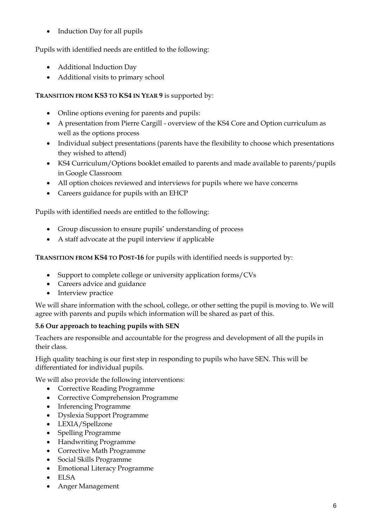• Induction Day for all pupils

## Pupils with identified needs are entitled to the following:

- Additional Induction Day
- Additional visits to primary school

## **TRANSITION FROM KS3 TO KS4 IN YEAR 9** is supported by:

- Online options evening for parents and pupils:
- A presentation from Pierre Cargill overview of the KS4 Core and Option curriculum as well as the options process
- Individual subject presentations (parents have the flexibility to choose which presentations they wished to attend)
- KS4 Curriculum/Options booklet emailed to parents and made available to parents/pupils in Google Classroom
- All option choices reviewed and interviews for pupils where we have concerns
- Careers guidance for pupils with an EHCP

Pupils with identified needs are entitled to the following:

- Group discussion to ensure pupils' understanding of process
- A staff advocate at the pupil interview if applicable

**TRANSITION FROM KS4 TO POST-16** for pupils with identified needs is supported by:

- Support to complete college or university application forms/CVs
- Careers advice and guidance
- Interview practice

We will share information with the school, college, or other setting the pupil is moving to. We will agree with parents and pupils which information will be shared as part of this.

## **5.6 Our approach to teaching pupils with SEN**

Teachers are responsible and accountable for the progress and development of all the pupils in their class.

High quality teaching is our first step in responding to pupils who have SEN. This will be differentiated for individual pupils.

We will also provide the following interventions:

- Corrective Reading Programme
- Corrective Comprehension Programme
- Inferencing Programme
- Dyslexia Support Programme
- LEXIA/Spellzone
- Spelling Programme
- Handwriting Programme
- Corrective Math Programme
- Social Skills Programme
- Emotional Literacy Programme
- ELSA
- Anger Management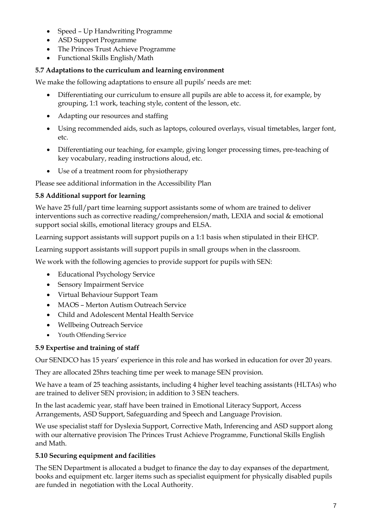- Speed Up Handwriting Programme
- ASD Support Programme
- The Princes Trust Achieve Programme
- Functional Skills English/Math

#### **5.7 Adaptations to the curriculum and learning environment**

We make the following adaptations to ensure all pupils' needs are met:

- Differentiating our curriculum to ensure all pupils are able to access it, for example, by grouping, 1:1 work, teaching style, content of the lesson, etc.
- Adapting our resources and staffing
- Using recommended aids, such as laptops, coloured overlays, visual timetables, larger font, etc.
- Differentiating our teaching, for example, giving longer processing times, pre-teaching of key vocabulary, reading instructions aloud, etc.
- Use of a treatment room for physiotherapy

Please see additional information in the Accessibility Plan

#### **5.8 Additional support for learning**

We have 25 full/part time learning support assistants some of whom are trained to deliver interventions such as corrective reading/comprehension/math, LEXIA and social & emotional support social skills, emotional literacy groups and ELSA.

Learning support assistants will support pupils on a 1:1 basis when stipulated in their EHCP.

Learning support assistants will support pupils in small groups when in the classroom.

We work with the following agencies to provide support for pupils with SEN:

- Educational Psychology Service
- Sensory Impairment Service
- Virtual Behaviour Support Team
- MAOS Merton Autism Outreach Service
- Child and Adolescent Mental Health Service
- Wellbeing Outreach Service
- Youth Offending Service

#### **5.9 Expertise and training of staff**

Our SENDCO has 15 years' experience in this role and has worked in education for over 20 years.

They are allocated 25hrs teaching time per week to manage SEN provision.

We have a team of 25 teaching assistants, including 4 higher level teaching assistants (HLTAs) who are trained to deliver SEN provision; in addition to 3 SEN teachers.

In the last academic year, staff have been trained in Emotional Literacy Support, Access Arrangements, ASD Support, Safeguarding and Speech and Language Provision.

We use specialist staff for Dyslexia Support, Corrective Math, Inferencing and ASD support along with our alternative provision The Princes Trust Achieve Programme, Functional Skills English and Math.

#### **5.10 Securing equipment and facilities**

The SEN Department is allocated a budget to finance the day to day expanses of the department, books and equipment etc. larger items such as specialist equipment for physically disabled pupils are funded in negotiation with the Local Authority.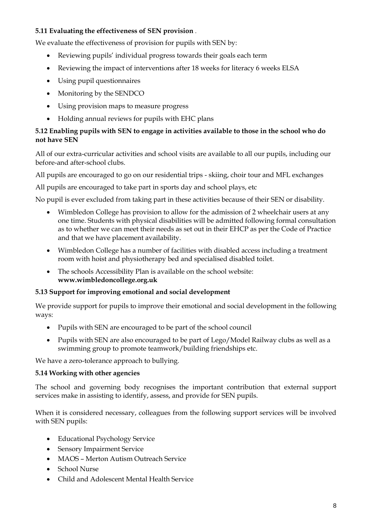#### **5.11 Evaluating the effectiveness of SEN provision** .

We evaluate the effectiveness of provision for pupils with SEN by:

- Reviewing pupils' individual progress towards their goals each term
- Reviewing the impact of interventions after 18 weeks for literacy 6 weeks ELSA
- Using pupil questionnaires
- Monitoring by the SENDCO
- Using provision maps to measure progress
- Holding annual reviews for pupils with EHC plans

#### **5.12 Enabling pupils with SEN to engage in activities available to those in the school who do not have SEN**

All of our extra-curricular activities and school visits are available to all our pupils, including our before-and after-school clubs.

All pupils are encouraged to go on our residential trips - skiing, choir tour and MFL exchanges

All pupils are encouraged to take part in sports day and school plays, etc

No pupil is ever excluded from taking part in these activities because of their SEN or disability.

- Wimbledon College has provision to allow for the admission of 2 wheelchair users at any one time. Students with physical disabilities will be admitted following formal consultation as to whether we can meet their needs as set out in their EHCP as per the Code of Practice and that we have placement availability.
- Wimbledon College has a number of facilities with disabled access including a treatment room with hoist and physiotherapy bed and specialised disabled toilet.
- The schools Accessibility Plan is available on the school website: **www.wimbledoncollege.org.uk**

#### **5.13 Support for improving emotional and social development**

We provide support for pupils to improve their emotional and social development in the following ways:

- Pupils with SEN are encouraged to be part of the school council
- Pupils with SEN are also encouraged to be part of Lego/Model Railway clubs as well as a swimming group to promote teamwork/building friendships etc.

We have a zero-tolerance approach to bullying.

#### **5.14 Working with other agencies**

The school and governing body recognises the important contribution that external support services make in assisting to identify, assess, and provide for SEN pupils.

When it is considered necessary, colleagues from the following support services will be involved with SEN pupils:

- Educational Psychology Service
- Sensory Impairment Service
- MAOS Merton Autism Outreach Service
- School Nurse
- Child and Adolescent Mental Health Service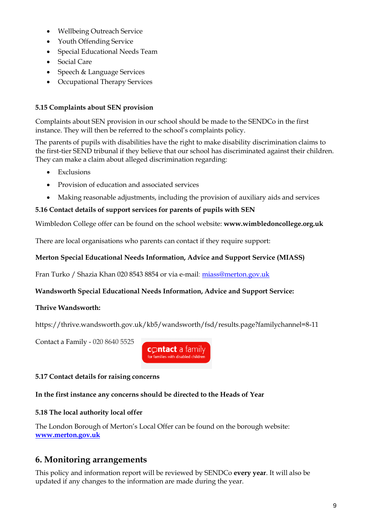- Wellbeing Outreach Service
- Youth Offending Service
- Special Educational Needs Team
- Social Care
- Speech & Language Services
- Occupational Therapy Services

## **5.15 Complaints about SEN provision**

Complaints about SEN provision in our school should be made to the SENDCo in the first instance. They will then be referred to the school's complaints policy.

The parents of pupils with disabilities have the right to make disability discrimination claims to the first-tier SEND tribunal if they believe that our school has discriminated against their children. They can make a claim about alleged discrimination regarding:

- Exclusions
- Provision of education and associated services
- Making reasonable adjustments, including the provision of auxiliary aids and services

## **5.16 Contact details of support services for parents of pupils with SEN**

Wimbledon College offer can be found on the school website: **www.wimbledoncollege.org.uk**

There are local organisations who parents can contact if they require support:

#### **Merton Special Educational Needs Information, Advice and Support Service (MIASS)**

Fran Turko / Shazia Khan 020 8543 8854 or via e-mail: [miass@merton.gov.uk](mailto:miass@merton.gov.uk)

#### **Wandsworth Special Educational Needs Information, Advice and Support Service:**

#### **Thrive Wandsworth:**

https://thrive.wandsworth.gov.uk/kb5/wandsworth/fsd/results.page?familychannel=8-11

Contact a Family - 020 8640 5525



## **5.17 Contact details for raising concerns**

#### **In the first instance any concerns should be directed to the Heads of Year**

#### **5.18 The local authority local offer**

The London Borough of Merton's Local Offer can be found on the borough website: **[www.merton.gov.uk](http://www.merton.gov.uk/)**

# **6. Monitoring arrangements**

This policy and information report will be reviewed by SENDCo **every year**. It will also be updated if any changes to the information are made during the year.